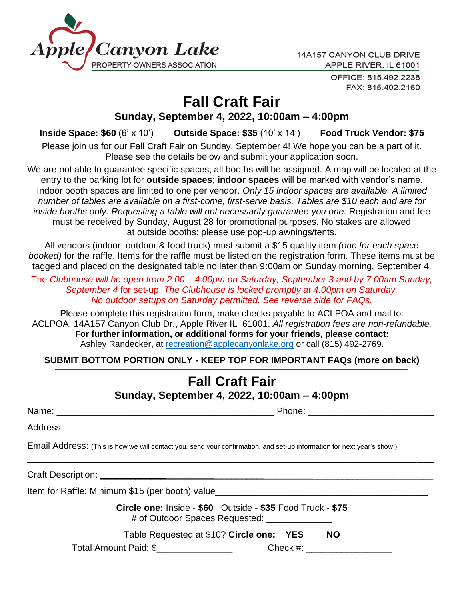

14A157 CANYON CLUB DRIVE APPLE RIVER, IL 61001

> OFFICE: 815.492.2238 FAX: 815.492.2160

# **Fall Craft Fair**

#### **Sunday, September 4, 2022, 10:00am – 4:00pm**

**Inside Space: \$60** (6' x 10') **Outside Space: \$35** (10' x 14') **Food Truck Vendor: \$75**

Please join us for our Fall Craft Fair on Sunday, September 4! We hope you can be a part of it. Please see the details below and submit your application soon.

We are not able to guarantee specific spaces; all booths will be assigned. A map will be located at the entry to the parking lot for **outside spaces**; **indoor spaces** will be marked with vendor's name. Indoor booth spaces are limited to one per vendor. *Only 15 indoor spaces are available. A limited number of tables are available on a first-come, first-serve basis. Tables are \$10 each and are for inside booths only. Requesting a table will not necessarily guarantee you one.* Registration and fee must be received by Sunday, August 28 for promotional purposes. No stakes are allowed at outside booths; please use pop-up awnings/tents.

All vendors (indoor, outdoor & food truck) must submit a \$15 quality item *(one for each space booked)* for the raffle. Items for the raffle must be listed on the registration form. These items must be tagged and placed on the designated table no later than 9:00am on Sunday morning, September 4.

The *Clubhouse will be open from 2:00 – 4:00pm on Saturday, September 3 and by 7:00am Sunday, September 4* for set-up. *The Clubhouse is locked promptly at 4:00pm on Saturday. No outdoor setups on Saturday permitted. See reverse side for FAQs.*

Please complete this registration form, make checks payable to ACLPOA and mail to: ACLPOA, 14A157 Canyon Club Dr., Apple River IL 61001. *All registration fees are non-refundable.* **For further information, or additional forms for your friends, please contact:** Ashley Randecker, at [recreation@applecanyonlake.org](mailto:recreation@applecanyonlake.org) or call (815) 492-2769.

**SUBMIT BOTTOM PORTION ONLY - KEEP TOP FOR IMPORTANT FAQs (more on back)**

## **Fall Craft Fair Sunday, September 4, 2022, 10:00am – 4:00pm**

Name: \_\_\_\_\_\_\_\_\_\_\_\_\_\_\_\_\_\_\_\_\_\_\_\_\_\_\_\_\_\_\_\_\_\_\_\_\_\_\_\_\_\_\_ Phone: \_\_\_\_\_\_\_\_\_\_\_\_\_\_\_\_\_\_\_\_\_\_\_\_\_

Address: \_\_\_\_\_\_\_\_\_\_\_\_\_\_\_\_\_\_\_\_\_\_\_\_\_\_\_\_\_\_\_\_\_\_\_\_\_\_\_\_\_\_\_\_\_\_\_\_\_\_\_\_\_\_\_\_\_\_\_\_\_\_\_\_\_\_\_\_\_\_\_\_\_

Email Address: (This is how we will contact you, send your confirmation, and set-up information for next year's show.)

Craft Description: \_\_\_\_\_\_\_\_\_\_\_\_\_\_\_\_\_\_\_\_\_\_\_\_\_\_\_\_\_\_\_\_\_\_\_\_\_\_\_\_\_\_\_\_\_\_\_\_\_\_\_\_\_\_\_\_\_\_\_\_\_\_\_\_\_\_

Item for Raffle: Minimum \$15 (per booth) value

**Circle one:** Inside - **\$60** Outside - **\$35** Food Truck - **\$75** # of Outdoor Spaces Requested: \_\_\_\_\_\_\_\_\_\_\_\_\_

\_\_\_\_\_\_\_\_\_\_\_\_\_\_\_\_\_\_\_\_\_\_\_\_\_\_\_\_\_\_\_\_\_\_\_\_\_\_\_\_\_\_\_\_\_\_\_\_\_\_\_\_\_\_\_\_\_\_\_\_\_\_\_\_\_\_\_\_\_

Table Requested at \$10? **Circle one: YES NO** 

Total Amount Paid: \$ \_\_\_\_\_\_\_\_\_\_\_\_\_\_\_\_\_\_\_ Check #: \_\_\_\_\_\_\_\_\_\_\_\_\_\_\_\_\_\_\_\_\_\_\_\_\_\_\_\_\_\_